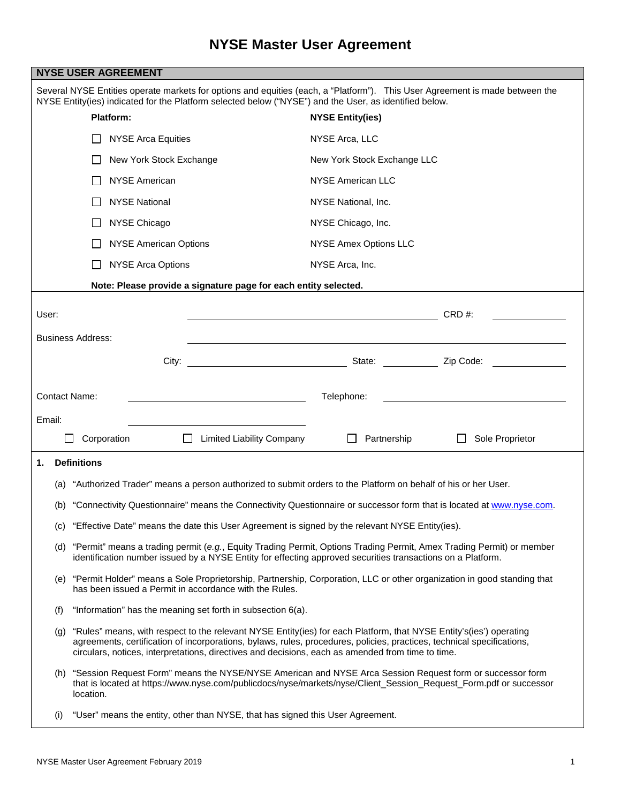| <b>NYSE USER AGREEMENT</b>                                                                                                                                                                                                             |                                                                                                                                                                                                                                                                                                                                                       |                                                                                                                                                                                                                               |                              |                 |  |  |
|----------------------------------------------------------------------------------------------------------------------------------------------------------------------------------------------------------------------------------------|-------------------------------------------------------------------------------------------------------------------------------------------------------------------------------------------------------------------------------------------------------------------------------------------------------------------------------------------------------|-------------------------------------------------------------------------------------------------------------------------------------------------------------------------------------------------------------------------------|------------------------------|-----------------|--|--|
| Several NYSE Entities operate markets for options and equities (each, a "Platform"). This User Agreement is made between the<br>NYSE Entity(ies) indicated for the Platform selected below ("NYSE") and the User, as identified below. |                                                                                                                                                                                                                                                                                                                                                       |                                                                                                                                                                                                                               |                              |                 |  |  |
| Platform:                                                                                                                                                                                                                              |                                                                                                                                                                                                                                                                                                                                                       |                                                                                                                                                                                                                               | <b>NYSE Entity(ies)</b>      |                 |  |  |
|                                                                                                                                                                                                                                        |                                                                                                                                                                                                                                                                                                                                                       | <b>NYSE Arca Equities</b>                                                                                                                                                                                                     | NYSE Arca, LLC               |                 |  |  |
|                                                                                                                                                                                                                                        |                                                                                                                                                                                                                                                                                                                                                       | New York Stock Exchange                                                                                                                                                                                                       | New York Stock Exchange LLC  |                 |  |  |
|                                                                                                                                                                                                                                        |                                                                                                                                                                                                                                                                                                                                                       | <b>NYSE American</b>                                                                                                                                                                                                          | <b>NYSE American LLC</b>     |                 |  |  |
|                                                                                                                                                                                                                                        |                                                                                                                                                                                                                                                                                                                                                       | <b>NYSE National</b>                                                                                                                                                                                                          | NYSE National, Inc.          |                 |  |  |
|                                                                                                                                                                                                                                        |                                                                                                                                                                                                                                                                                                                                                       | NYSE Chicago                                                                                                                                                                                                                  | NYSE Chicago, Inc.           |                 |  |  |
|                                                                                                                                                                                                                                        |                                                                                                                                                                                                                                                                                                                                                       | <b>NYSE American Options</b>                                                                                                                                                                                                  | <b>NYSE Amex Options LLC</b> |                 |  |  |
|                                                                                                                                                                                                                                        |                                                                                                                                                                                                                                                                                                                                                       | <b>NYSE Arca Options</b>                                                                                                                                                                                                      | NYSE Arca, Inc.              |                 |  |  |
| Note: Please provide a signature page for each entity selected.                                                                                                                                                                        |                                                                                                                                                                                                                                                                                                                                                       |                                                                                                                                                                                                                               |                              |                 |  |  |
| User:                                                                                                                                                                                                                                  |                                                                                                                                                                                                                                                                                                                                                       |                                                                                                                                                                                                                               |                              | CRD#:           |  |  |
|                                                                                                                                                                                                                                        |                                                                                                                                                                                                                                                                                                                                                       |                                                                                                                                                                                                                               |                              |                 |  |  |
| <b>Business Address:</b>                                                                                                                                                                                                               |                                                                                                                                                                                                                                                                                                                                                       |                                                                                                                                                                                                                               |                              |                 |  |  |
|                                                                                                                                                                                                                                        |                                                                                                                                                                                                                                                                                                                                                       | City: City: City: City: City: City: City: City: City: City: City: City: City: City: City: City: City: City: City: City: City: City: City: City: City: City: City: City: City: City: City: City: City: City: City: City: City: |                              |                 |  |  |
| <b>Contact Name:</b><br>Telephone:                                                                                                                                                                                                     |                                                                                                                                                                                                                                                                                                                                                       |                                                                                                                                                                                                                               |                              |                 |  |  |
| Email:                                                                                                                                                                                                                                 |                                                                                                                                                                                                                                                                                                                                                       |                                                                                                                                                                                                                               |                              |                 |  |  |
|                                                                                                                                                                                                                                        | Corporation                                                                                                                                                                                                                                                                                                                                           | <b>Limited Liability Company</b>                                                                                                                                                                                              | Partnership                  | Sole Proprietor |  |  |
| <b>Definitions</b><br>1.                                                                                                                                                                                                               |                                                                                                                                                                                                                                                                                                                                                       |                                                                                                                                                                                                                               |                              |                 |  |  |
| "Authorized Trader" means a person authorized to submit orders to the Platform on behalf of his or her User.<br>(a)                                                                                                                    |                                                                                                                                                                                                                                                                                                                                                       |                                                                                                                                                                                                                               |                              |                 |  |  |
| (b)                                                                                                                                                                                                                                    | "Connectivity Questionnaire" means the Connectivity Questionnaire or successor form that is located at www.nyse.com.                                                                                                                                                                                                                                  |                                                                                                                                                                                                                               |                              |                 |  |  |
|                                                                                                                                                                                                                                        | (c) "Effective Date" means the date this User Agreement is signed by the relevant NYSE Entity(ies).                                                                                                                                                                                                                                                   |                                                                                                                                                                                                                               |                              |                 |  |  |
|                                                                                                                                                                                                                                        | (d) "Permit" means a trading permit (e.g., Equity Trading Permit, Options Trading Permit, Amex Trading Permit) or member                                                                                                                                                                                                                              |                                                                                                                                                                                                                               |                              |                 |  |  |
|                                                                                                                                                                                                                                        | identification number issued by a NYSE Entity for effecting approved securities transactions on a Platform.                                                                                                                                                                                                                                           |                                                                                                                                                                                                                               |                              |                 |  |  |
| (e)                                                                                                                                                                                                                                    | "Permit Holder" means a Sole Proprietorship, Partnership, Corporation, LLC or other organization in good standing that<br>has been issued a Permit in accordance with the Rules.                                                                                                                                                                      |                                                                                                                                                                                                                               |                              |                 |  |  |
| (f)                                                                                                                                                                                                                                    | "Information" has the meaning set forth in subsection 6(a).                                                                                                                                                                                                                                                                                           |                                                                                                                                                                                                                               |                              |                 |  |  |
|                                                                                                                                                                                                                                        | (g) "Rules" means, with respect to the relevant NYSE Entity(ies) for each Platform, that NYSE Entity's(ies') operating<br>agreements, certification of incorporations, bylaws, rules, procedures, policies, practices, technical specifications,<br>circulars, notices, interpretations, directives and decisions, each as amended from time to time. |                                                                                                                                                                                                                               |                              |                 |  |  |
|                                                                                                                                                                                                                                        | (h) "Session Request Form" means the NYSE/NYSE American and NYSE Arca Session Request form or successor form<br>that is located at https://www.nyse.com/publicdocs/nyse/markets/nyse/Client_Session_Request_Form.pdf or successor<br>location.                                                                                                        |                                                                                                                                                                                                                               |                              |                 |  |  |
| (i)                                                                                                                                                                                                                                    | "User" means the entity, other than NYSE, that has signed this User Agreement.                                                                                                                                                                                                                                                                        |                                                                                                                                                                                                                               |                              |                 |  |  |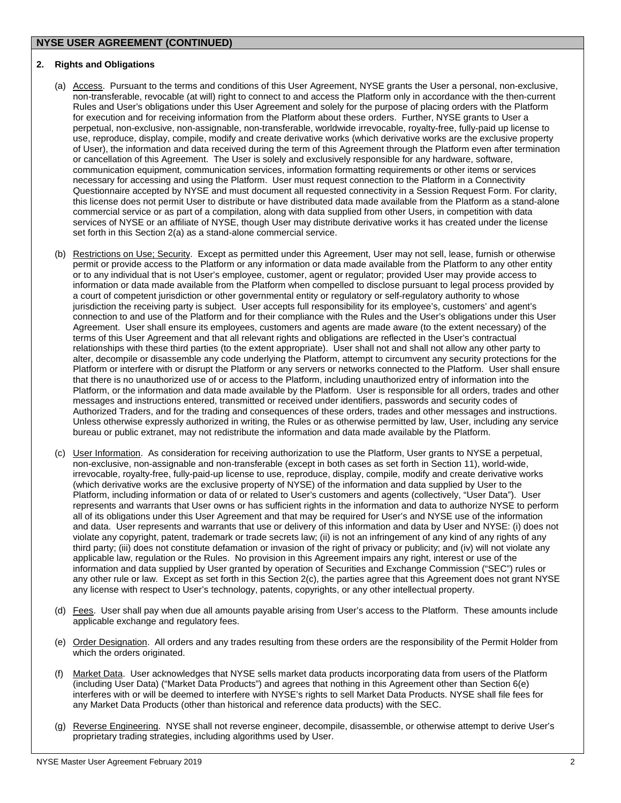# **2. Rights and Obligations**

- (a) Access. Pursuant to the terms and conditions of this User Agreement, NYSE grants the User a personal, non-exclusive, non-transferable, revocable (at will) right to connect to and access the Platform only in accordance with the then-current Rules and User's obligations under this User Agreement and solely for the purpose of placing orders with the Platform for execution and for receiving information from the Platform about these orders. Further, NYSE grants to User a perpetual, non-exclusive, non-assignable, non-transferable, worldwide irrevocable, royalty-free, fully-paid up license to use, reproduce, display, compile, modify and create derivative works (which derivative works are the exclusive property of User), the information and data received during the term of this Agreement through the Platform even after termination or cancellation of this Agreement. The User is solely and exclusively responsible for any hardware, software, communication equipment, communication services, information formatting requirements or other items or services necessary for accessing and using the Platform. User must request connection to the Platform in a Connectivity Questionnaire accepted by NYSE and must document all requested connectivity in a Session Request Form. For clarity, this license does not permit User to distribute or have distributed data made available from the Platform as a stand-alone commercial service or as part of a compilation, along with data supplied from other Users, in competition with data services of NYSE or an affiliate of NYSE, though User may distribute derivative works it has created under the license set forth in this Section 2(a) as a stand-alone commercial service.
- (b) Restrictions on Use; Security. Except as permitted under this Agreement, User may not sell, lease, furnish or otherwise permit or provide access to the Platform or any information or data made available from the Platform to any other entity or to any individual that is not User's employee, customer, agent or regulator; provided User may provide access to information or data made available from the Platform when compelled to disclose pursuant to legal process provided by a court of competent jurisdiction or other governmental entity or regulatory or self-regulatory authority to whose jurisdiction the receiving party is subject. User accepts full responsibility for its employee's, customers' and agent's connection to and use of the Platform and for their compliance with the Rules and the User's obligations under this User Agreement. User shall ensure its employees, customers and agents are made aware (to the extent necessary) of the terms of this User Agreement and that all relevant rights and obligations are reflected in the User's contractual relationships with these third parties (to the extent appropriate). User shall not and shall not allow any other party to alter, decompile or disassemble any code underlying the Platform, attempt to circumvent any security protections for the Platform or interfere with or disrupt the Platform or any servers or networks connected to the Platform. User shall ensure that there is no unauthorized use of or access to the Platform, including unauthorized entry of information into the Platform, or the information and data made available by the Platform. User is responsible for all orders, trades and other messages and instructions entered, transmitted or received under identifiers, passwords and security codes of Authorized Traders, and for the trading and consequences of these orders, trades and other messages and instructions. Unless otherwise expressly authorized in writing, the Rules or as otherwise permitted by law, User, including any service bureau or public extranet, may not redistribute the information and data made available by the Platform.
- (c) User Information. As consideration for receiving authorization to use the Platform, User grants to NYSE a perpetual, non-exclusive, non-assignable and non-transferable (except in both cases as set forth in Section 11), world-wide, irrevocable, royalty-free, fully-paid-up license to use, reproduce, display, compile, modify and create derivative works (which derivative works are the exclusive property of NYSE) of the information and data supplied by User to the Platform, including information or data of or related to User's customers and agents (collectively, "User Data"). User represents and warrants that User owns or has sufficient rights in the information and data to authorize NYSE to perform all of its obligations under this User Agreement and that may be required for User's and NYSE use of the information and data. User represents and warrants that use or delivery of this information and data by User and NYSE: (i) does not violate any copyright, patent, trademark or trade secrets law; (ii) is not an infringement of any kind of any rights of any third party; (iii) does not constitute defamation or invasion of the right of privacy or publicity; and (iv) will not violate any applicable law, regulation or the Rules. No provision in this Agreement impairs any right, interest or use of the information and data supplied by User granted by operation of Securities and Exchange Commission ("SEC") rules or any other rule or law. Except as set forth in this Section 2(c), the parties agree that this Agreement does not grant NYSE any license with respect to User's technology, patents, copyrights, or any other intellectual property.
- (d) Fees. User shall pay when due all amounts payable arising from User's access to the Platform. These amounts include applicable exchange and regulatory fees.
- (e) Order Designation. All orders and any trades resulting from these orders are the responsibility of the Permit Holder from which the orders originated.
- (f) Market Data. User acknowledges that NYSE sells market data products incorporating data from users of the Platform (including User Data) ("Market Data Products") and agrees that nothing in this Agreement other than Section 6(e) interferes with or will be deemed to interfere with NYSE's rights to sell Market Data Products. NYSE shall file fees for any Market Data Products (other than historical and reference data products) with the SEC.
- (g) Reverse Engineering. NYSE shall not reverse engineer, decompile, disassemble, or otherwise attempt to derive User's proprietary trading strategies, including algorithms used by User.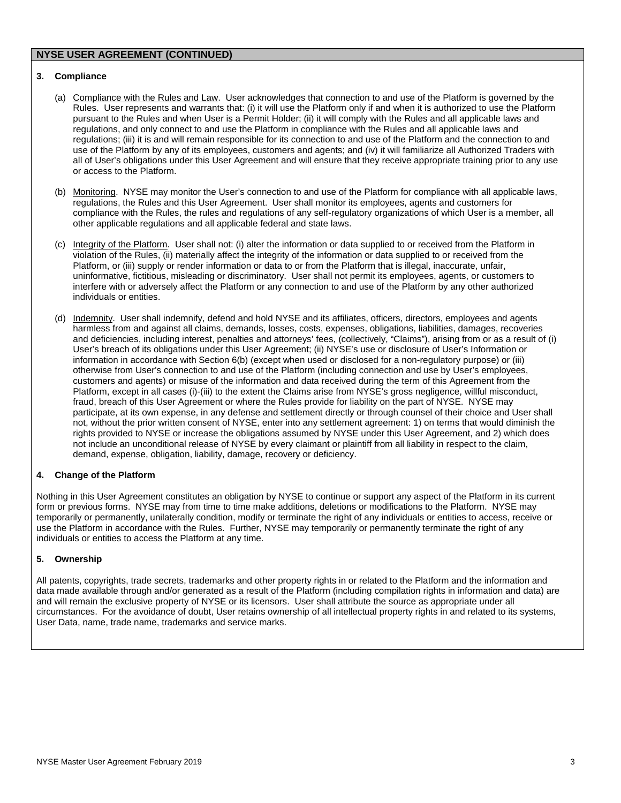### **3. Compliance**

- (a) Compliance with the Rules and Law. User acknowledges that connection to and use of the Platform is governed by the Rules. User represents and warrants that: (i) it will use the Platform only if and when it is authorized to use the Platform pursuant to the Rules and when User is a Permit Holder; (ii) it will comply with the Rules and all applicable laws and regulations, and only connect to and use the Platform in compliance with the Rules and all applicable laws and regulations; (iii) it is and will remain responsible for its connection to and use of the Platform and the connection to and use of the Platform by any of its employees, customers and agents; and (iv) it will familiarize all Authorized Traders with all of User's obligations under this User Agreement and will ensure that they receive appropriate training prior to any use or access to the Platform.
- (b) Monitoring. NYSE may monitor the User's connection to and use of the Platform for compliance with all applicable laws, regulations, the Rules and this User Agreement. User shall monitor its employees, agents and customers for compliance with the Rules, the rules and regulations of any self-regulatory organizations of which User is a member, all other applicable regulations and all applicable federal and state laws.
- (c) Integrity of the Platform. User shall not: (i) alter the information or data supplied to or received from the Platform in violation of the Rules, (ii) materially affect the integrity of the information or data supplied to or received from the Platform, or (iii) supply or render information or data to or from the Platform that is illegal, inaccurate, unfair, uninformative, fictitious, misleading or discriminatory. User shall not permit its employees, agents, or customers to interfere with or adversely affect the Platform or any connection to and use of the Platform by any other authorized individuals or entities.
- (d) Indemnity. User shall indemnify, defend and hold NYSE and its affiliates, officers, directors, employees and agents harmless from and against all claims, demands, losses, costs, expenses, obligations, liabilities, damages, recoveries and deficiencies, including interest, penalties and attorneys' fees, (collectively, "Claims"), arising from or as a result of (i) User's breach of its obligations under this User Agreement; (ii) NYSE's use or disclosure of User's Information or information in accordance with Section 6(b) (except when used or disclosed for a non-regulatory purpose) or (iii) otherwise from User's connection to and use of the Platform (including connection and use by User's employees, customers and agents) or misuse of the information and data received during the term of this Agreement from the Platform, except in all cases (i)-(iii) to the extent the Claims arise from NYSE's gross negligence, willful misconduct, fraud, breach of this User Agreement or where the Rules provide for liability on the part of NYSE. NYSE may participate, at its own expense, in any defense and settlement directly or through counsel of their choice and User shall not, without the prior written consent of NYSE, enter into any settlement agreement: 1) on terms that would diminish the rights provided to NYSE or increase the obligations assumed by NYSE under this User Agreement, and 2) which does not include an unconditional release of NYSE by every claimant or plaintiff from all liability in respect to the claim, demand, expense, obligation, liability, damage, recovery or deficiency.

### **4. Change of the Platform**

Nothing in this User Agreement constitutes an obligation by NYSE to continue or support any aspect of the Platform in its current form or previous forms. NYSE may from time to time make additions, deletions or modifications to the Platform. NYSE may temporarily or permanently, unilaterally condition, modify or terminate the right of any individuals or entities to access, receive or use the Platform in accordance with the Rules. Further, NYSE may temporarily or permanently terminate the right of any individuals or entities to access the Platform at any time.

### **5. Ownership**

All patents, copyrights, trade secrets, trademarks and other property rights in or related to the Platform and the information and data made available through and/or generated as a result of the Platform (including compilation rights in information and data) are and will remain the exclusive property of NYSE or its licensors. User shall attribute the source as appropriate under all circumstances. For the avoidance of doubt, User retains ownership of all intellectual property rights in and related to its systems, User Data, name, trade name, trademarks and service marks.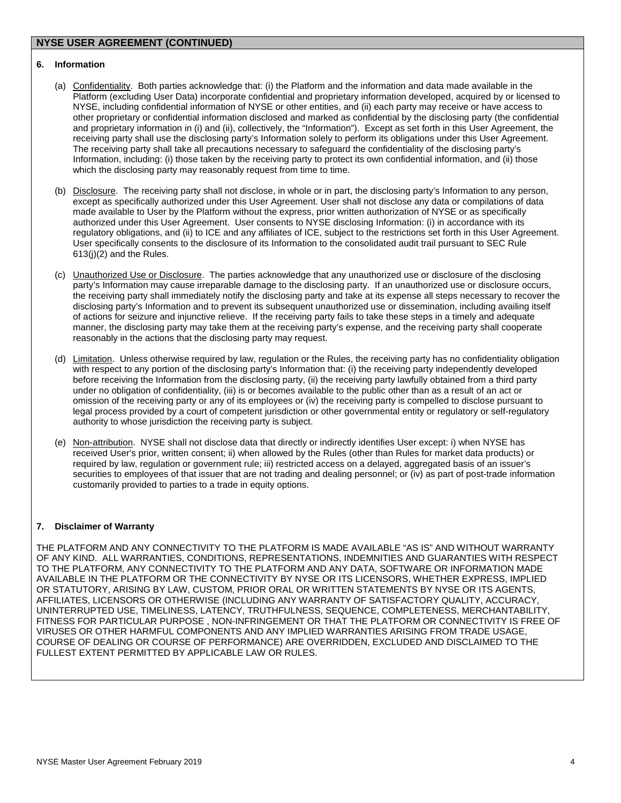### **6. Information**

- (a) Confidentiality. Both parties acknowledge that: (i) the Platform and the information and data made available in the Platform (excluding User Data) incorporate confidential and proprietary information developed, acquired by or licensed to NYSE, including confidential information of NYSE or other entities, and (ii) each party may receive or have access to other proprietary or confidential information disclosed and marked as confidential by the disclosing party (the confidential and proprietary information in (i) and (ii), collectively, the "Information"). Except as set forth in this User Agreement, the receiving party shall use the disclosing party's Information solely to perform its obligations under this User Agreement. The receiving party shall take all precautions necessary to safeguard the confidentiality of the disclosing party's Information, including: (i) those taken by the receiving party to protect its own confidential information, and (ii) those which the disclosing party may reasonably request from time to time.
- (b) Disclosure. The receiving party shall not disclose, in whole or in part, the disclosing party's Information to any person, except as specifically authorized under this User Agreement. User shall not disclose any data or compilations of data made available to User by the Platform without the express, prior written authorization of NYSE or as specifically authorized under this User Agreement. User consents to NYSE disclosing Information: (i) in accordance with its regulatory obligations, and (ii) to ICE and any affiliates of ICE, subject to the restrictions set forth in this User Agreement. User specifically consents to the disclosure of its Information to the consolidated audit trail pursuant to SEC Rule 613(j)(2) and the Rules.
- (c) Unauthorized Use or Disclosure. The parties acknowledge that any unauthorized use or disclosure of the disclosing party's Information may cause irreparable damage to the disclosing party. If an unauthorized use or disclosure occurs, the receiving party shall immediately notify the disclosing party and take at its expense all steps necessary to recover the disclosing party's Information and to prevent its subsequent unauthorized use or dissemination, including availing itself of actions for seizure and injunctive relieve. If the receiving party fails to take these steps in a timely and adequate manner, the disclosing party may take them at the receiving party's expense, and the receiving party shall cooperate reasonably in the actions that the disclosing party may request.
- (d) Limitation. Unless otherwise required by law, regulation or the Rules, the receiving party has no confidentiality obligation with respect to any portion of the disclosing party's Information that: (i) the receiving party independently developed before receiving the Information from the disclosing party, (ii) the receiving party lawfully obtained from a third party under no obligation of confidentiality, (iii) is or becomes available to the public other than as a result of an act or omission of the receiving party or any of its employees or (iv) the receiving party is compelled to disclose pursuant to legal process provided by a court of competent jurisdiction or other governmental entity or regulatory or self-regulatory authority to whose jurisdiction the receiving party is subject.
- (e) Non-attribution. NYSE shall not disclose data that directly or indirectly identifies User except: i) when NYSE has received User's prior, written consent; ii) when allowed by the Rules (other than Rules for market data products) or required by law, regulation or government rule; iii) restricted access on a delayed, aggregated basis of an issuer's securities to employees of that issuer that are not trading and dealing personnel; or (iv) as part of post-trade information customarily provided to parties to a trade in equity options.

### **7. Disclaimer of Warranty**

THE PLATFORM AND ANY CONNECTIVITY TO THE PLATFORM IS MADE AVAILABLE "AS IS" AND WITHOUT WARRANTY OF ANY KIND. ALL WARRANTIES, CONDITIONS, REPRESENTATIONS, INDEMNITIES AND GUARANTIES WITH RESPECT TO THE PLATFORM, ANY CONNECTIVITY TO THE PLATFORM AND ANY DATA, SOFTWARE OR INFORMATION MADE AVAILABLE IN THE PLATFORM OR THE CONNECTIVITY BY NYSE OR ITS LICENSORS, WHETHER EXPRESS, IMPLIED OR STATUTORY, ARISING BY LAW, CUSTOM, PRIOR ORAL OR WRITTEN STATEMENTS BY NYSE OR ITS AGENTS, AFFILIATES, LICENSORS OR OTHERWISE (INCLUDING ANY WARRANTY OF SATISFACTORY QUALITY, ACCURACY, UNINTERRUPTED USE, TIMELINESS, LATENCY, TRUTHFULNESS, SEQUENCE, COMPLETENESS, MERCHANTABILITY, FITNESS FOR PARTICULAR PURPOSE , NON-INFRINGEMENT OR THAT THE PLATFORM OR CONNECTIVITY IS FREE OF VIRUSES OR OTHER HARMFUL COMPONENTS AND ANY IMPLIED WARRANTIES ARISING FROM TRADE USAGE, COURSE OF DEALING OR COURSE OF PERFORMANCE) ARE OVERRIDDEN, EXCLUDED AND DISCLAIMED TO THE FULLEST EXTENT PERMITTED BY APPLICABLE LAW OR RULES.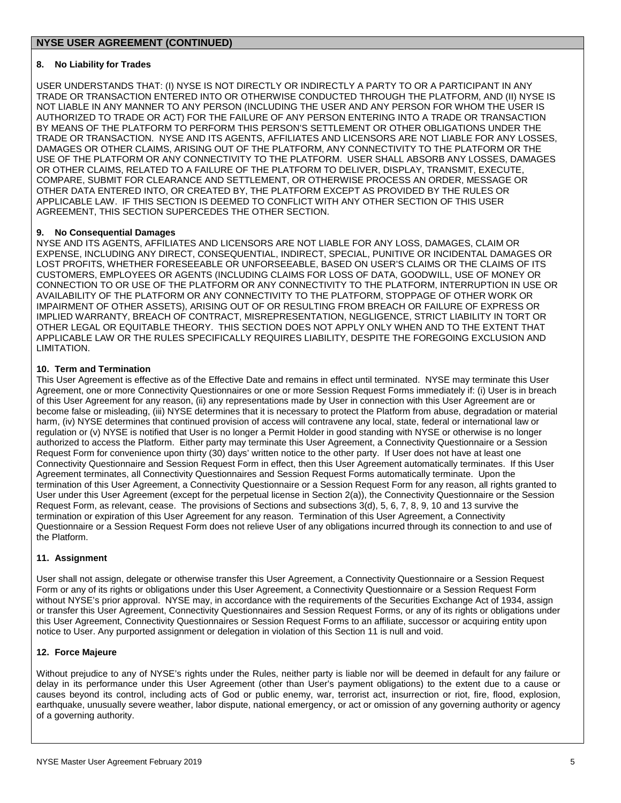# **8. No Liability for Trades**

USER UNDERSTANDS THAT: (I) NYSE IS NOT DIRECTLY OR INDIRECTLY A PARTY TO OR A PARTICIPANT IN ANY TRADE OR TRANSACTION ENTERED INTO OR OTHERWISE CONDUCTED THROUGH THE PLATFORM, AND (II) NYSE IS NOT LIABLE IN ANY MANNER TO ANY PERSON (INCLUDING THE USER AND ANY PERSON FOR WHOM THE USER IS AUTHORIZED TO TRADE OR ACT) FOR THE FAILURE OF ANY PERSON ENTERING INTO A TRADE OR TRANSACTION BY MEANS OF THE PLATFORM TO PERFORM THIS PERSON'S SETTLEMENT OR OTHER OBLIGATIONS UNDER THE TRADE OR TRANSACTION. NYSE AND ITS AGENTS, AFFILIATES AND LICENSORS ARE NOT LIABLE FOR ANY LOSSES, DAMAGES OR OTHER CLAIMS, ARISING OUT OF THE PLATFORM, ANY CONNECTIVITY TO THE PLATFORM OR THE USE OF THE PLATFORM OR ANY CONNECTIVITY TO THE PLATFORM. USER SHALL ABSORB ANY LOSSES, DAMAGES OR OTHER CLAIMS, RELATED TO A FAILURE OF THE PLATFORM TO DELIVER, DISPLAY, TRANSMIT, EXECUTE, COMPARE, SUBMIT FOR CLEARANCE AND SETTLEMENT, OR OTHERWISE PROCESS AN ORDER, MESSAGE OR OTHER DATA ENTERED INTO, OR CREATED BY, THE PLATFORM EXCEPT AS PROVIDED BY THE RULES OR APPLICABLE LAW. IF THIS SECTION IS DEEMED TO CONFLICT WITH ANY OTHER SECTION OF THIS USER AGREEMENT, THIS SECTION SUPERCEDES THE OTHER SECTION.

# **9. No Consequential Damages**

NYSE AND ITS AGENTS, AFFILIATES AND LICENSORS ARE NOT LIABLE FOR ANY LOSS, DAMAGES, CLAIM OR EXPENSE, INCLUDING ANY DIRECT, CONSEQUENTIAL, INDIRECT, SPECIAL, PUNITIVE OR INCIDENTAL DAMAGES OR LOST PROFITS, WHETHER FORESEEABLE OR UNFORSEEABLE, BASED ON USER'S CLAIMS OR THE CLAIMS OF ITS CUSTOMERS, EMPLOYEES OR AGENTS (INCLUDING CLAIMS FOR LOSS OF DATA, GOODWILL, USE OF MONEY OR CONNECTION TO OR USE OF THE PLATFORM OR ANY CONNECTIVITY TO THE PLATFORM, INTERRUPTION IN USE OR AVAILABILITY OF THE PLATFORM OR ANY CONNECTIVITY TO THE PLATFORM, STOPPAGE OF OTHER WORK OR IMPAIRMENT OF OTHER ASSETS), ARISING OUT OF OR RESULTING FROM BREACH OR FAILURE OF EXPRESS OR IMPLIED WARRANTY, BREACH OF CONTRACT, MISREPRESENTATION, NEGLIGENCE, STRICT LIABILITY IN TORT OR OTHER LEGAL OR EQUITABLE THEORY. THIS SECTION DOES NOT APPLY ONLY WHEN AND TO THE EXTENT THAT APPLICABLE LAW OR THE RULES SPECIFICALLY REQUIRES LIABILITY, DESPITE THE FOREGOING EXCLUSION AND LIMITATION.

# **10. Term and Termination**

This User Agreement is effective as of the Effective Date and remains in effect until terminated. NYSE may terminate this User Agreement, one or more Connectivity Questionnaires or one or more Session Request Forms immediately if: (i) User is in breach of this User Agreement for any reason, (ii) any representations made by User in connection with this User Agreement are or become false or misleading, (iii) NYSE determines that it is necessary to protect the Platform from abuse, degradation or material harm, (iv) NYSE determines that continued provision of access will contravene any local, state, federal or international law or regulation or (v) NYSE is notified that User is no longer a Permit Holder in good standing with NYSE or otherwise is no longer authorized to access the Platform. Either party may terminate this User Agreement, a Connectivity Questionnaire or a Session Request Form for convenience upon thirty (30) days' written notice to the other party. If User does not have at least one Connectivity Questionnaire and Session Request Form in effect, then this User Agreement automatically terminates. If this User Agreement terminates, all Connectivity Questionnaires and Session Request Forms automatically terminate. Upon the termination of this User Agreement, a Connectivity Questionnaire or a Session Request Form for any reason, all rights granted to User under this User Agreement (except for the perpetual license in Section 2(a)), the Connectivity Questionnaire or the Session Request Form, as relevant, cease. The provisions of Sections and subsections 3(d), 5, 6, 7, 8, 9, 10 and 13 survive the termination or expiration of this User Agreement for any reason. Termination of this User Agreement, a Connectivity Questionnaire or a Session Request Form does not relieve User of any obligations incurred through its connection to and use of the Platform.

### **11. Assignment**

User shall not assign, delegate or otherwise transfer this User Agreement, a Connectivity Questionnaire or a Session Request Form or any of its rights or obligations under this User Agreement, a Connectivity Questionnaire or a Session Request Form without NYSE's prior approval. NYSE may, in accordance with the requirements of the Securities Exchange Act of 1934, assign or transfer this User Agreement, Connectivity Questionnaires and Session Request Forms, or any of its rights or obligations under this User Agreement, Connectivity Questionnaires or Session Request Forms to an affiliate, successor or acquiring entity upon notice to User. Any purported assignment or delegation in violation of this Section 11 is null and void.

### **12. Force Majeure**

Without prejudice to any of NYSE's rights under the Rules, neither party is liable nor will be deemed in default for any failure or delay in its performance under this User Agreement (other than User's payment obligations) to the extent due to a cause or causes beyond its control, including acts of God or public enemy, war, terrorist act, insurrection or riot, fire, flood, explosion, earthquake, unusually severe weather, labor dispute, national emergency, or act or omission of any governing authority or agency of a governing authority.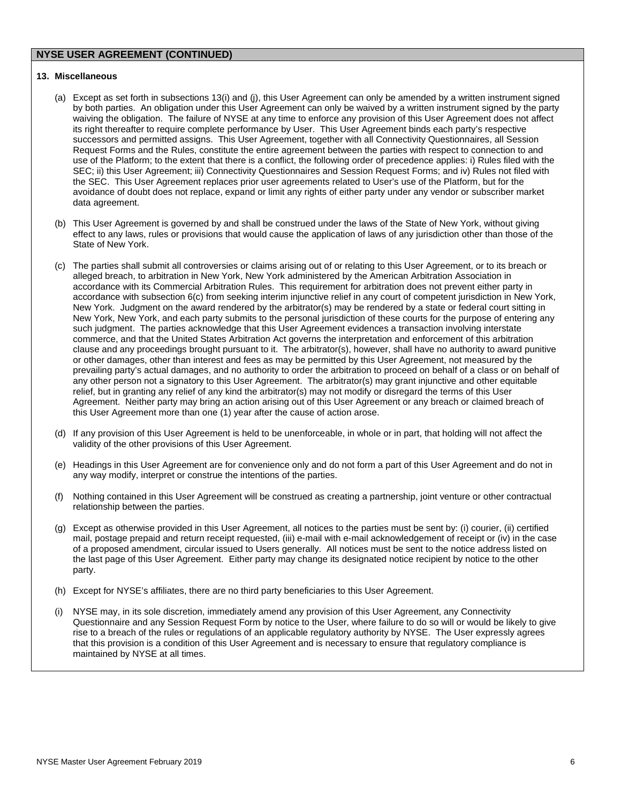#### **13. Miscellaneous**

- (a) Except as set forth in subsections 13(i) and (j), this User Agreement can only be amended by a written instrument signed by both parties. An obligation under this User Agreement can only be waived by a written instrument signed by the party waiving the obligation. The failure of NYSE at any time to enforce any provision of this User Agreement does not affect its right thereafter to require complete performance by User. This User Agreement binds each party's respective successors and permitted assigns. This User Agreement, together with all Connectivity Questionnaires, all Session Request Forms and the Rules, constitute the entire agreement between the parties with respect to connection to and use of the Platform; to the extent that there is a conflict, the following order of precedence applies: i) Rules filed with the SEC; ii) this User Agreement; iii) Connectivity Questionnaires and Session Request Forms; and iv) Rules not filed with the SEC. This User Agreement replaces prior user agreements related to User's use of the Platform, but for the avoidance of doubt does not replace, expand or limit any rights of either party under any vendor or subscriber market data agreement.
- (b) This User Agreement is governed by and shall be construed under the laws of the State of New York, without giving effect to any laws, rules or provisions that would cause the application of laws of any jurisdiction other than those of the State of New York.
- (c) The parties shall submit all controversies or claims arising out of or relating to this User Agreement, or to its breach or alleged breach, to arbitration in New York, New York administered by the American Arbitration Association in accordance with its Commercial Arbitration Rules. This requirement for arbitration does not prevent either party in accordance with subsection 6(c) from seeking interim injunctive relief in any court of competent jurisdiction in New York, New York. Judgment on the award rendered by the arbitrator(s) may be rendered by a state or federal court sitting in New York, New York, and each party submits to the personal jurisdiction of these courts for the purpose of entering any such judgment. The parties acknowledge that this User Agreement evidences a transaction involving interstate commerce, and that the United States Arbitration Act governs the interpretation and enforcement of this arbitration clause and any proceedings brought pursuant to it. The arbitrator(s), however, shall have no authority to award punitive or other damages, other than interest and fees as may be permitted by this User Agreement, not measured by the prevailing party's actual damages, and no authority to order the arbitration to proceed on behalf of a class or on behalf of any other person not a signatory to this User Agreement. The arbitrator(s) may grant injunctive and other equitable relief, but in granting any relief of any kind the arbitrator(s) may not modify or disregard the terms of this User Agreement. Neither party may bring an action arising out of this User Agreement or any breach or claimed breach of this User Agreement more than one (1) year after the cause of action arose.
- (d) If any provision of this User Agreement is held to be unenforceable, in whole or in part, that holding will not affect the validity of the other provisions of this User Agreement.
- (e) Headings in this User Agreement are for convenience only and do not form a part of this User Agreement and do not in any way modify, interpret or construe the intentions of the parties.
- (f) Nothing contained in this User Agreement will be construed as creating a partnership, joint venture or other contractual relationship between the parties.
- (g) Except as otherwise provided in this User Agreement, all notices to the parties must be sent by: (i) courier, (ii) certified mail, postage prepaid and return receipt requested, (iii) e-mail with e-mail acknowledgement of receipt or (iv) in the case of a proposed amendment, circular issued to Users generally. All notices must be sent to the notice address listed on the last page of this User Agreement. Either party may change its designated notice recipient by notice to the other party.
- (h) Except for NYSE's affiliates, there are no third party beneficiaries to this User Agreement.
- (i) NYSE may, in its sole discretion, immediately amend any provision of this User Agreement, any Connectivity Questionnaire and any Session Request Form by notice to the User, where failure to do so will or would be likely to give rise to a breach of the rules or regulations of an applicable regulatory authority by NYSE. The User expressly agrees that this provision is a condition of this User Agreement and is necessary to ensure that regulatory compliance is maintained by NYSE at all times.